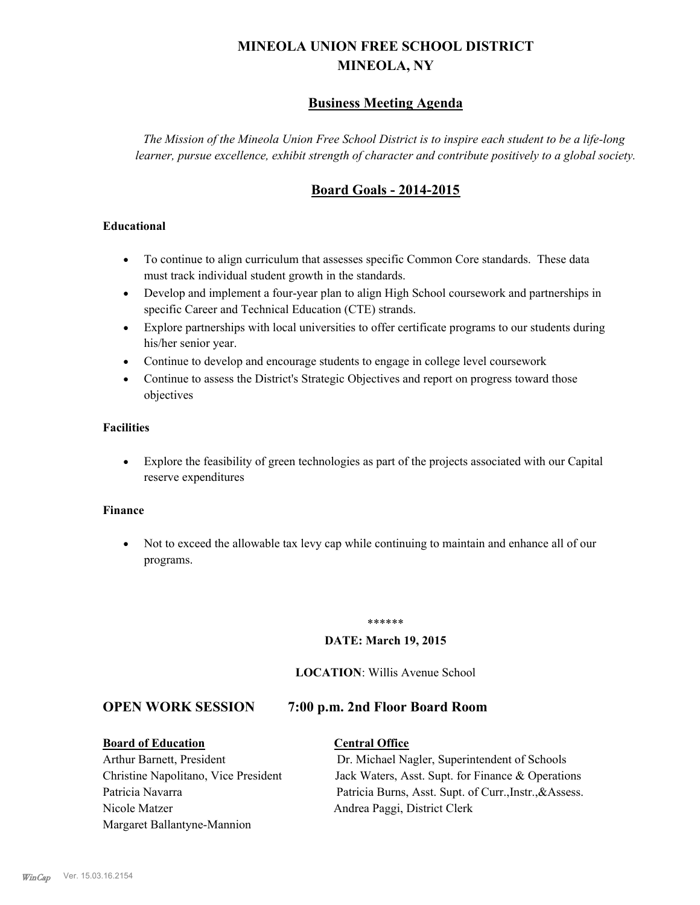# **MINEOLA UNION FREE SCHOOL DISTRICT MINEOLA, NY**

# **Business Meeting Agenda**

*The Mission of the Mineola Union Free School District is to inspire each student to be a life-long learner, pursue excellence, exhibit strength of character and contribute positively to a global society.*

# **Board Goals - 2014-2015**

# **Educational**

- · To continue to align curriculum that assesses specific Common Core standards. These data must track individual student growth in the standards.
- · Develop and implement a four-year plan to align High School coursework and partnerships in specific Career and Technical Education (CTE) strands.
- · Explore partnerships with local universities to offer certificate programs to our students during his/her senior year.
- · Continue to develop and encourage students to engage in college level coursework
- Continue to assess the District's Strategic Objectives and report on progress toward those objectives

### **Facilities**

· Explore the feasibility of green technologies as part of the projects associated with our Capital reserve expenditures

#### **Finance**

· Not to exceed the allowable tax levy cap while continuing to maintain and enhance all of our programs.

#### \*\*\*\*\*\*

#### **DATE: March 19, 2015**

#### **LOCATION**: Willis Avenue School

# **OPEN WORK SESSION 7:00 p.m. 2nd Floor Board Room**

#### **Board of Education Central Office**

# Nicole Matzer Andrea Paggi, District Clerk Margaret Ballantyne-Mannion

Arthur Barnett, President Dr. Michael Nagler, Superintendent of Schools Christine Napolitano, Vice President Jack Waters, Asst. Supt. for Finance & Operations Patricia Navarra Patricia Burns, Asst. Supt. of Curr., Instr., &Assess.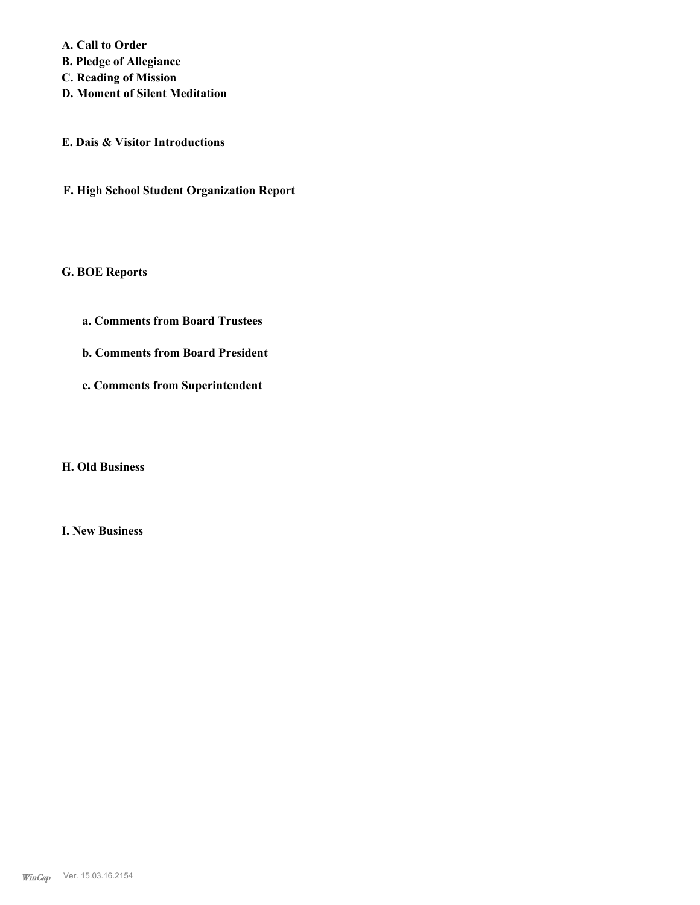**A. Call to Order** 

**B. Pledge of Allegiance**

**C. Reading of Mission**

**D. Moment of Silent Meditation**

**E. Dais & Visitor Introductions**

**F. High School Student Organization Report**

**G. BOE Reports**

**a. Comments from Board Trustees**

**b. Comments from Board President**

**c. Comments from Superintendent**

**H. Old Business**

**I. New Business**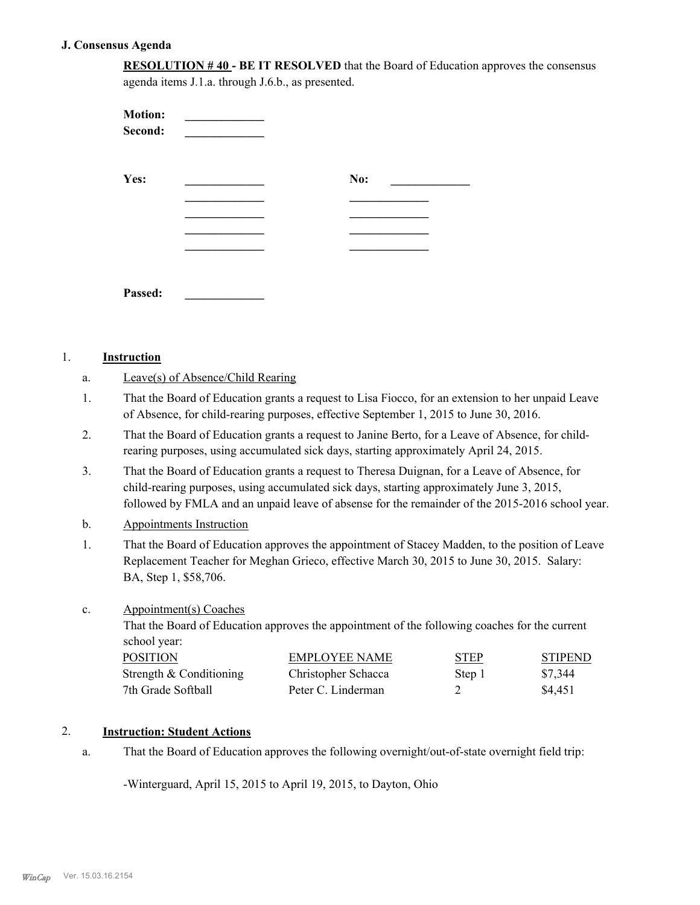#### **J. Consensus Agenda**

**RESOLUTION # 40 - BE IT RESOLVED** that the Board of Education approves the consensus agenda items J.1.a. through J.6.b., as presented.

| <b>Motion:</b><br>Second: |     |  |
|---------------------------|-----|--|
| Yes:                      | No: |  |
|                           |     |  |
|                           |     |  |
|                           |     |  |
| Passed:                   |     |  |

#### 1. **Instruction**

| Leave(s) of Absence/Child Rearing |
|-----------------------------------|
|-----------------------------------|

- That the Board of Education grants a request to Lisa Fiocco, for an extension to her unpaid Leave of Absence, for child-rearing purposes, effective September 1, 2015 to June 30, 2016. 1.
- That the Board of Education grants a request to Janine Berto, for a Leave of Absence, for childrearing purposes, using accumulated sick days, starting approximately April 24, 2015. 2.
- That the Board of Education grants a request to Theresa Duignan, for a Leave of Absence, for child-rearing purposes, using accumulated sick days, starting approximately June 3, 2015, followed by FMLA and an unpaid leave of absense for the remainder of the 2015-2016 school year. 3.
- b. Appointments Instruction
- That the Board of Education approves the appointment of Stacey Madden, to the position of Leave Replacement Teacher for Meghan Grieco, effective March 30, 2015 to June 30, 2015. Salary: BA, Step 1, \$58,706. 1.
- Appointment(s) Coaches c.

That the Board of Education approves the appointment of the following coaches for the current school year:

| <b>POSITION</b>           | EMPLOYEE NAME       | <b>STEP</b> | <b>STIPEND</b> |
|---------------------------|---------------------|-------------|----------------|
| Strength $&$ Conditioning | Christopher Schacca | Step 1      | \$7,344        |
| 7th Grade Softball        | Peter C. Linderman  |             | \$4.451        |

# 2. **Instruction: Student Actions**

That the Board of Education approves the following overnight/out-of-state overnight field trip: a.

-Winterguard, April 15, 2015 to April 19, 2015, to Dayton, Ohio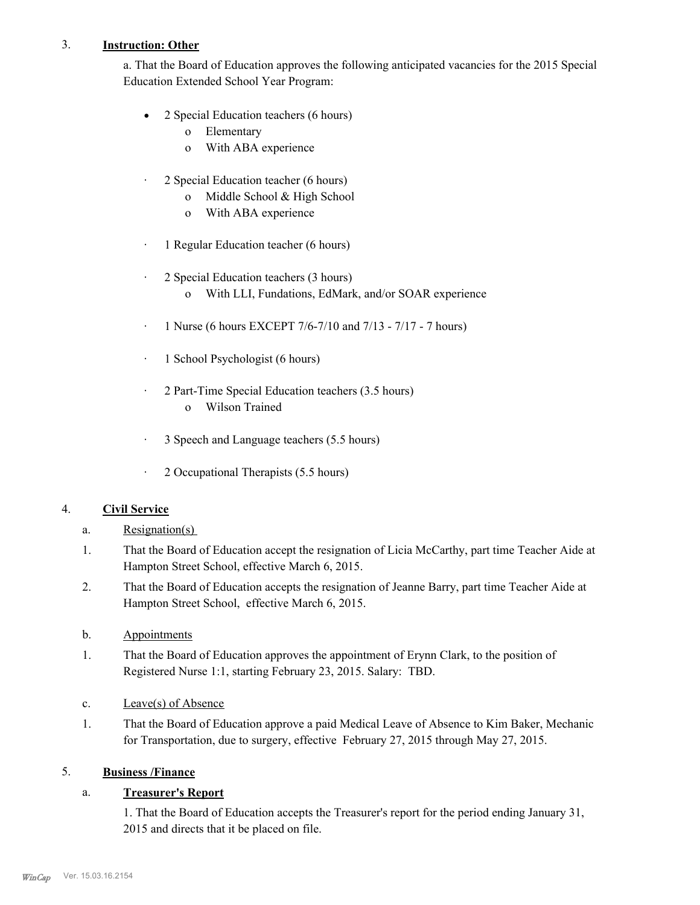# 3. **Instruction: Other**

a. That the Board of Education approves the following anticipated vacancies for the 2015 Special Education Extended School Year Program:

- 2 Special Education teachers (6 hours)
	- o Elementary
	- o With ABA experience
- · 2 Special Education teacher (6 hours)
	- o Middle School & High School
	- o With ABA experience
- · 1 Regular Education teacher (6 hours)
- · 2 Special Education teachers (3 hours)
	- o With LLI, Fundations, EdMark, and/or SOAR experience
- · 1 Nurse (6 hours EXCEPT 7/6-7/10 and 7/13 7/17 7 hours)
- · 1 School Psychologist (6 hours)
- · 2 Part-Time Special Education teachers (3.5 hours)
	- o Wilson Trained
- · 3 Speech and Language teachers (5.5 hours)
- · 2 Occupational Therapists (5.5 hours)

# 4. **Civil Service**

- a. Resignation(s)
- That the Board of Education accept the resignation of Licia McCarthy, part time Teacher Aide at Hampton Street School, effective March 6, 2015. 1.
- That the Board of Education accepts the resignation of Jeanne Barry, part time Teacher Aide at Hampton Street School, effective March 6, 2015. 2.
- b. Appointments
- That the Board of Education approves the appointment of Erynn Clark, to the position of Registered Nurse 1:1, starting February 23, 2015. Salary: TBD. 1.
- c. Leave(s) of Absence
- That the Board of Education approve a paid Medical Leave of Absence to Kim Baker, Mechanic for Transportation, due to surgery, effective February 27, 2015 through May 27, 2015. 1.

# 5. **Business /Finance**

### a. **Treasurer's Report**

1. That the Board of Education accepts the Treasurer's report for the period ending January 31, 2015 and directs that it be placed on file.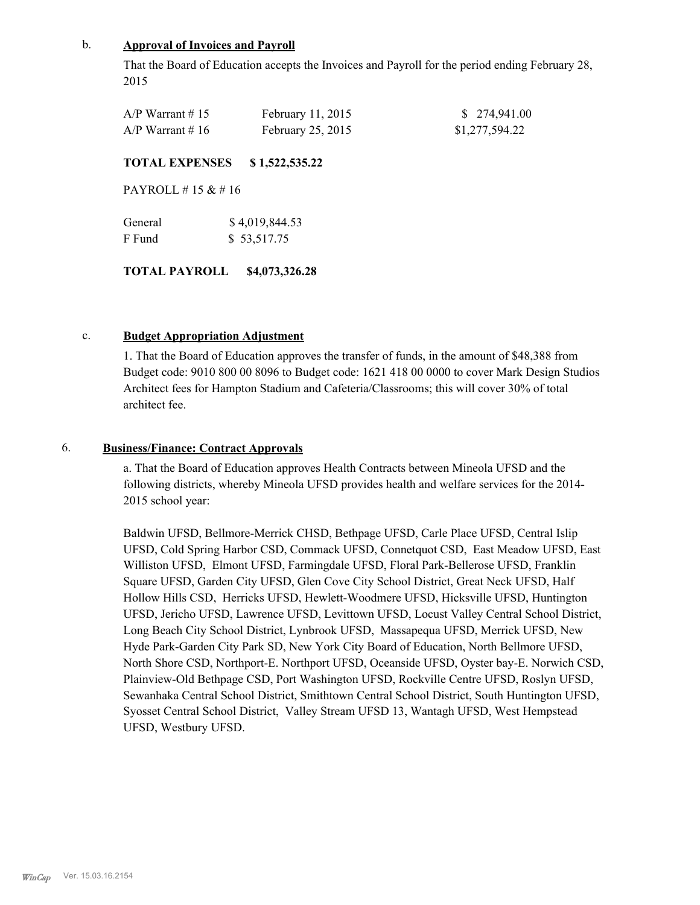#### b. **Approval of Invoices and Payroll**

That the Board of Education accepts the Invoices and Payroll for the period ending February 28, 2015

| $A/P$ Warrant # 15 | February 11, 2015 | \$ 274,941.00  |
|--------------------|-------------------|----------------|
| $A/P$ Warrant #16  | February 25, 2015 | \$1,277,594.22 |

#### **TOTAL EXPENSES \$ 1,522,535.22**

PAYROLL # 15 & # 16

| General | \$4,019,844.53 |
|---------|----------------|
| F Fund  | \$53,517.75    |

# **TOTAL PAYROLL \$4,073,326.28**

#### c. **Budget Appropriation Adjustment**

1. That the Board of Education approves the transfer of funds, in the amount of \$48,388 from Budget code: 9010 800 00 8096 to Budget code: 1621 418 00 0000 to cover Mark Design Studios Architect fees for Hampton Stadium and Cafeteria/Classrooms; this will cover 30% of total architect fee.

# 6. **Business/Finance: Contract Approvals**

a. That the Board of Education approves Health Contracts between Mineola UFSD and the following districts, whereby Mineola UFSD provides health and welfare services for the 2014- 2015 school year:

Baldwin UFSD, Bellmore-Merrick CHSD, Bethpage UFSD, Carle Place UFSD, Central Islip UFSD, Cold Spring Harbor CSD, Commack UFSD, Connetquot CSD, East Meadow UFSD, East Williston UFSD, Elmont UFSD, Farmingdale UFSD, Floral Park-Bellerose UFSD, Franklin Square UFSD, Garden City UFSD, Glen Cove City School District, Great Neck UFSD, Half Hollow Hills CSD, Herricks UFSD, Hewlett-Woodmere UFSD, Hicksville UFSD, Huntington UFSD, Jericho UFSD, Lawrence UFSD, Levittown UFSD, Locust Valley Central School District, Long Beach City School District, Lynbrook UFSD, Massapequa UFSD, Merrick UFSD, New Hyde Park-Garden City Park SD, New York City Board of Education, North Bellmore UFSD, North Shore CSD, Northport-E. Northport UFSD, Oceanside UFSD, Oyster bay-E. Norwich CSD, Plainview-Old Bethpage CSD, Port Washington UFSD, Rockville Centre UFSD, Roslyn UFSD, Sewanhaka Central School District, Smithtown Central School District, South Huntington UFSD, Syosset Central School District, Valley Stream UFSD 13, Wantagh UFSD, West Hempstead UFSD, Westbury UFSD.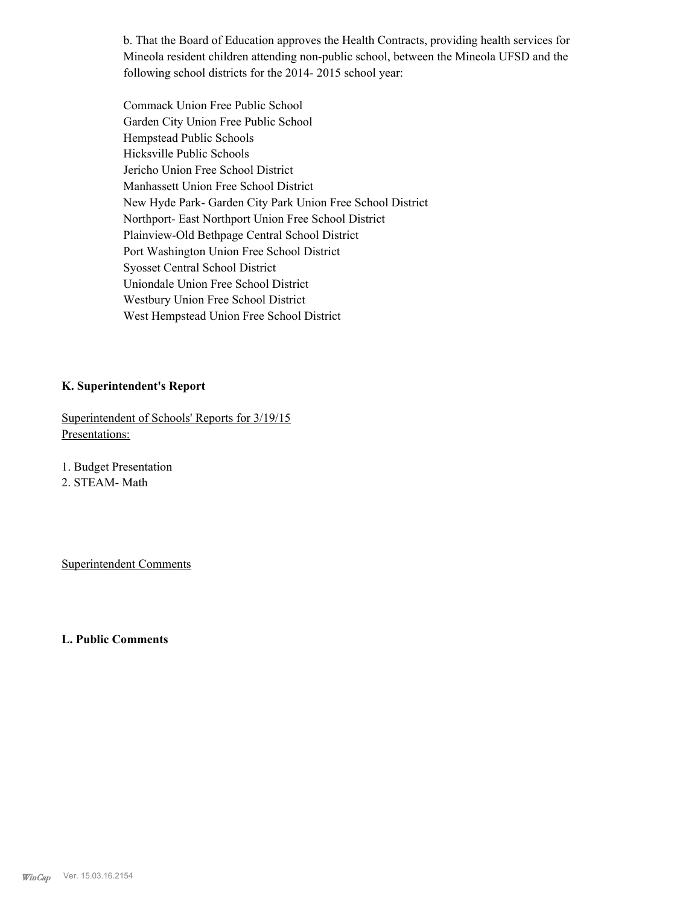b. That the Board of Education approves the Health Contracts, providing health services for Mineola resident children attending non-public school, between the Mineola UFSD and the following school districts for the 2014- 2015 school year:

Commack Union Free Public School Garden City Union Free Public School Hempstead Public Schools Hicksville Public Schools Jericho Union Free School District Manhassett Union Free School District New Hyde Park- Garden City Park Union Free School District Northport- East Northport Union Free School District Plainview-Old Bethpage Central School District Port Washington Union Free School District Syosset Central School District Uniondale Union Free School District Westbury Union Free School District West Hempstead Union Free School District

#### **K. Superintendent's Report**

Superintendent of Schools' Reports for 3/19/15 Presentations:

1. Budget Presentation

2. STEAM- Math

Superintendent Comments

#### **L. Public Comments**